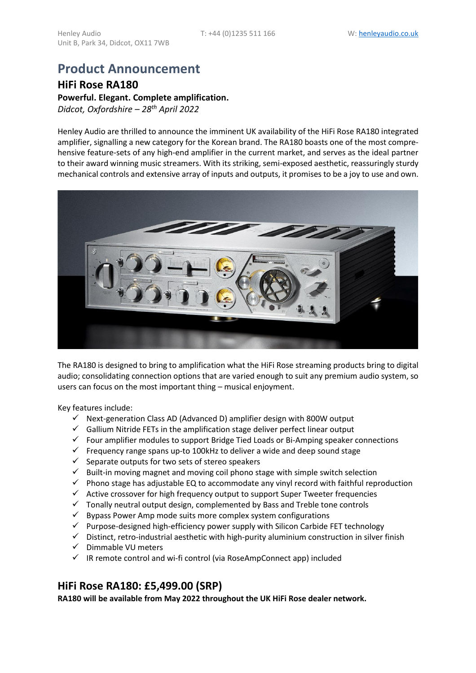# **Product Announcement**

**HiFi Rose RA180 Powerful. Elegant. Complete amplification.** *Didcot, Oxfordshire – 28 th April 2022*

Henley Audio are thrilled to announce the imminent UK availability of the HiFi Rose RA180 integrated amplifier, signalling a new category for the Korean brand. The RA180 boasts one of the most comprehensive feature-sets of any high-end amplifier in the current market, and serves as the ideal partner to their award winning music streamers. With its striking, semi-exposed aesthetic, reassuringly sturdy mechanical controls and extensive array of inputs and outputs, it promises to be a joy to use and own.



The RA180 is designed to bring to amplification what the HiFi Rose streaming products bring to digital audio; consolidating connection options that are varied enough to suit any premium audio system, so users can focus on the most important thing – musical enjoyment.

Key features include:

- $\checkmark$  Next-generation Class AD (Advanced D) amplifier design with 800W output
- $\checkmark$  Gallium Nitride FETs in the amplification stage deliver perfect linear output
- ✓ Four amplifier modules to support Bridge Tied Loads or Bi-Amping speaker connections
- $\checkmark$  Frequency range spans up-to 100 kHz to deliver a wide and deep sound stage
- $\checkmark$  Separate outputs for two sets of stereo speakers
- $\checkmark$  Built-in moving magnet and moving coil phono stage with simple switch selection
- $\checkmark$  Phono stage has adjustable EQ to accommodate any vinyl record with faithful reproduction
- ✓ Active crossover for high frequency output to support Super Tweeter frequencies
- $\checkmark$  Tonally neutral output design, complemented by Bass and Treble tone controls
- $\checkmark$  Bypass Power Amp mode suits more complex system configurations
- $\checkmark$  Purpose-designed high-efficiency power supply with Silicon Carbide FET technology
- $\checkmark$  Distinct, retro-industrial aesthetic with high-purity aluminium construction in silver finish
- ✓ Dimmable VU meters
- $\checkmark$  IR remote control and wi-fi control (via RoseAmpConnect app) included

# **HiFi Rose RA180: £5,499.00 (SRP)**

**RA180 will be available from May 2022 throughout the UK HiFi Rose dealer network.**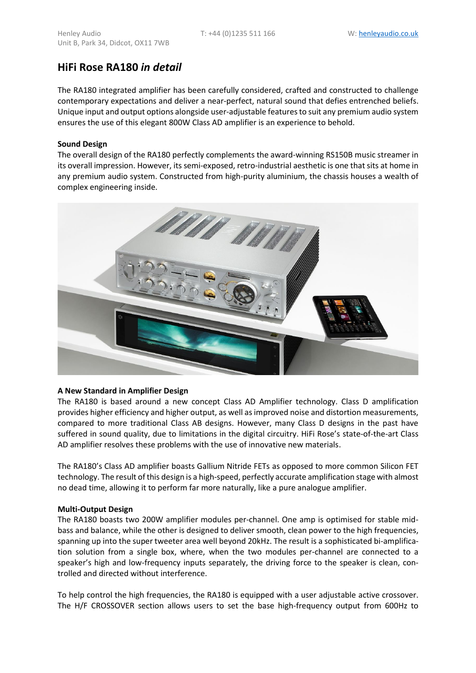# **HiFi Rose RA180** *in detail*

The RA180 integrated amplifier has been carefully considered, crafted and constructed to challenge contemporary expectations and deliver a near-perfect, natural sound that defies entrenched beliefs. Unique input and output options alongside user-adjustable features to suit any premium audio system ensures the use of this elegant 800W Class AD amplifier is an experience to behold.

### **Sound Design**

The overall design of the RA180 perfectly complements the award-winning RS150B music streamer in its overall impression. However, its semi-exposed, retro-industrial aesthetic is one that sits at home in any premium audio system. Constructed from high-purity aluminium, the chassis houses a wealth of complex engineering inside.



### **A New Standard in Amplifier Design**

The RA180 is based around a new concept Class AD Amplifier technology. Class D amplification provides higher efficiency and higher output, as well as improved noise and distortion measurements, compared to more traditional Class AB designs. However, many Class D designs in the past have suffered in sound quality, due to limitations in the digital circuitry. HiFi Rose's state-of-the-art Class AD amplifier resolves these problems with the use of innovative new materials.

The RA180's Class AD amplifier boasts Gallium Nitride FETs as opposed to more common Silicon FET technology. The result of this design is a high-speed, perfectly accurate amplification stage with almost no dead time, allowing it to perform far more naturally, like a pure analogue amplifier.

### **Multi-Output Design**

The RA180 boasts two 200W amplifier modules per-channel. One amp is optimised for stable midbass and balance, while the other is designed to deliver smooth, clean power to the high frequencies, spanning up into the super tweeter area well beyond 20kHz. The result is a sophisticated bi-amplification solution from a single box, where, when the two modules per-channel are connected to a speaker's high and low-frequency inputs separately, the driving force to the speaker is clean, controlled and directed without interference.

To help control the high frequencies, the RA180 is equipped with a user adjustable active crossover. The H/F CROSSOVER section allows users to set the base high-frequency output from 600Hz to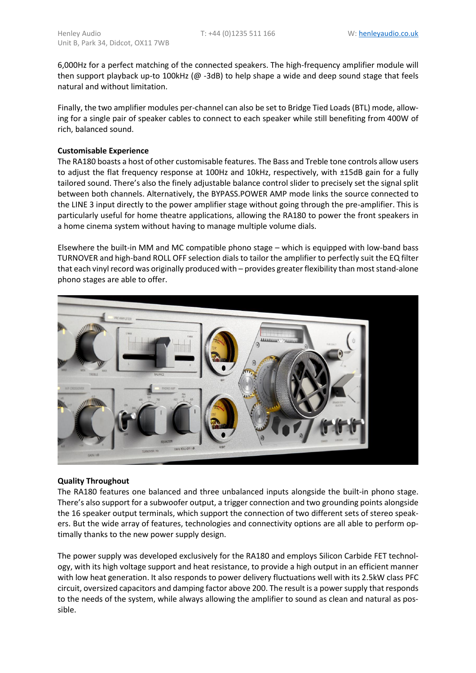6,000Hz for a perfect matching of the connected speakers. The high-frequency amplifier module will then support playback up-to 100kHz ( $@$  -3dB) to help shape a wide and deep sound stage that feels natural and without limitation.

Finally, the two amplifier modules per-channel can also be set to Bridge Tied Loads (BTL) mode, allowing for a single pair of speaker cables to connect to each speaker while still benefiting from 400W of rich, balanced sound.

### **Customisable Experience**

The RA180 boasts a host of other customisable features. The Bass and Treble tone controls allow users to adjust the flat frequency response at 100Hz and 10kHz, respectively, with ±15dB gain for a fully tailored sound. There's also the finely adjustable balance control slider to precisely set the signal split between both channels. Alternatively, the BYPASS.POWER AMP mode links the source connected to the LINE 3 input directly to the power amplifier stage without going through the pre-amplifier. This is particularly useful for home theatre applications, allowing the RA180 to power the front speakers in a home cinema system without having to manage multiple volume dials.

Elsewhere the built-in MM and MC compatible phono stage – which is equipped with low-band bass TURNOVER and high-band ROLL OFF selection dials to tailor the amplifier to perfectly suit the EQ filter that each vinyl record was originally produced with – provides greater flexibility than most stand-alone phono stages are able to offer.



# **Quality Throughout**

The RA180 features one balanced and three unbalanced inputs alongside the built-in phono stage. There's also support for a subwoofer output, a trigger connection and two grounding points alongside the 16 speaker output terminals, which support the connection of two different sets of stereo speakers. But the wide array of features, technologies and connectivity options are all able to perform optimally thanks to the new power supply design.

The power supply was developed exclusively for the RA180 and employs Silicon Carbide FET technology, with its high voltage support and heat resistance, to provide a high output in an efficient manner with low heat generation. It also responds to power delivery fluctuations well with its 2.5kW class PFC circuit, oversized capacitors and damping factor above 200. The result is a power supply that responds to the needs of the system, while always allowing the amplifier to sound as clean and natural as possible.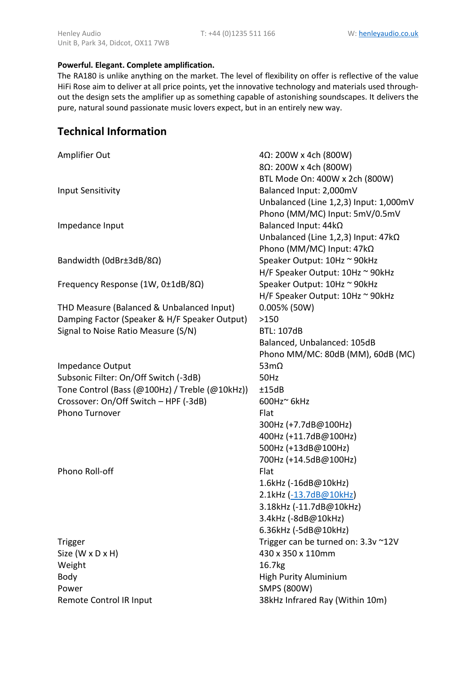# **Powerful. Elegant. Complete amplification.**

The RA180 is unlike anything on the market. The level of flexibility on offer is reflective of the value HiFi Rose aim to deliver at all price points, yet the innovative technology and materials used throughout the design sets the amplifier up as something capable of astonishing soundscapes. It delivers the pure, natural sound passionate music lovers expect, but in an entirely new way.

# **Technical Information**

| Amplifier Out                                           | $4\Omega$ : 200W x 4ch (800W)                           |
|---------------------------------------------------------|---------------------------------------------------------|
|                                                         | 8Ω: 200W x 4ch (800W)<br>BTL Mode On: 400W x 2ch (800W) |
| <b>Input Sensitivity</b>                                | Balanced Input: 2,000mV                                 |
|                                                         | Unbalanced (Line 1,2,3) Input: 1,000mV                  |
|                                                         | Phono (MM/MC) Input: 5mV/0.5mV                          |
| Impedance Input                                         | Balanced Input: 44kΩ                                    |
|                                                         | Unbalanced (Line 1,2,3) Input: 47kQ                     |
|                                                         | Phono (MM/MC) Input: 47kΩ                               |
| Bandwidth (0dBr±3dB/8Ω)                                 | Speaker Output: 10Hz ~ 90kHz                            |
|                                                         | H/F Speaker Output: 10Hz ~ 90kHz                        |
| Frequency Response (1W, 0±1dB/8Ω)                       | Speaker Output: 10Hz ~ 90kHz                            |
|                                                         | H/F Speaker Output: 10Hz ~ 90kHz                        |
| THD Measure (Balanced & Unbalanced Input)               | $0.005\%$ (50W)                                         |
| Damping Factor (Speaker & H/F Speaker Output)           | >150                                                    |
| Signal to Noise Ratio Measure (S/N)                     | <b>BTL: 107dB</b>                                       |
|                                                         | Balanced, Unbalanced: 105dB                             |
|                                                         | Phono MM/MC: 80dB (MM), 60dB (MC)                       |
| Impedance Output                                        | 53 $m\Omega$                                            |
| Subsonic Filter: On/Off Switch (-3dB)                   | <b>50Hz</b>                                             |
| Tone Control (Bass (@100Hz) / Treble (@10kHz))          | ±15dB<br>600Hz~ 6kHz                                    |
| Crossover: On/Off Switch - HPF (-3dB)<br>Phono Turnover | Flat                                                    |
|                                                         | 300Hz (+7.7dB@100Hz)                                    |
|                                                         | 400Hz (+11.7dB@100Hz)                                   |
|                                                         | 500Hz (+13dB@100Hz)                                     |
|                                                         | 700Hz (+14.5dB@100Hz)                                   |
| Phono Roll-off                                          | Flat                                                    |
|                                                         | 1.6kHz (-16dB@10kHz)                                    |
|                                                         | 2.1kHz (-13.7dB@10kHz)                                  |
|                                                         | 3.18kHz (-11.7dB@10kHz)                                 |
|                                                         | 3.4kHz (-8dB@10kHz)                                     |
|                                                         | 6.36kHz (-5dB@10kHz)                                    |
| Trigger                                                 | Trigger can be turned on: 3.3v ~12V                     |
| Size (W x D x H)                                        | 430 x 350 x 110mm                                       |
| Weight                                                  | 16.7kg                                                  |
| Body                                                    | <b>High Purity Aluminium</b>                            |
| Power                                                   | <b>SMPS (800W)</b>                                      |
| Remote Control IR Input                                 | 38kHz Infrared Ray (Within 10m)                         |